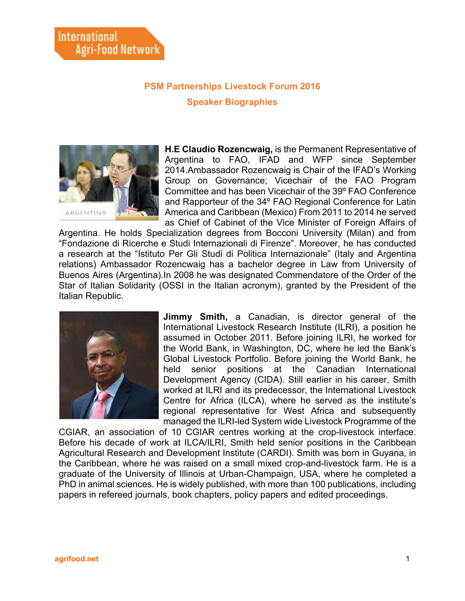## **PSM Partnerships Livestock Forum 2016 Speaker Biographies**



**H.E Claudio Rozencwaig,** is the Permanent Representative of Argentina to FAO, IFAD and WFP since September 2014.Ambassador Rozencwaig is Chair of the IFAD's Working Group on Governance; Vicechair of the FAO Program Committee and has been Vicechair of the 39º FAO Conference and Rapporteur of the 34º FAO Regional Conference for Latin America and Caribbean (Mexico) From 2011 to 2014 he served as Chief of Cabinet of the Vice Minister of Foreign Affairs of

Argentina. He holds Specialization degrees from Bocconi University (Milan) and from "Fondazione di Ricerche e Studi Internazionali di Firenze". Moreover, he has conducted a research at the "Istituto Per Gli Studi di Politica Internazionale" (Italy and Argentina relations) Ambassador Rozencwaig has a bachelor degree in Law from University of Buenos Aires (Argentina).In 2008 he was designated Commendatore of the Order of the Star of Italian Solidarity (OSSI in the Italian acronym), granted by the President of the Italian Republic.



**Jimmy Smith,** a Canadian, is director general of the International Livestock Research Institute (ILRI), a position he assumed in October 2011. Before joining ILRI, he worked for the World Bank, in Washington, DC, where he led the Bank's Global Livestock Portfolio. Before joining the World Bank, he held senior positions at the Canadian International Development Agency (CIDA). Still earlier in his career, Smith worked at ILRI and its predecessor, the International Livestock Centre for Africa (ILCA), where he served as the institute's regional representative for West Africa and subsequently managed the ILRI-led System wide Livestock Programme of the

CGIAR, an association of 10 CGIAR centres working at the crop-livestock interface. Before his decade of work at ILCA/ILRI, Smith held senior positions in the Caribbean Agricultural Research and Development Institute (CARDI). Smith was born in Guyana, in the Caribbean, where he was raised on a small mixed crop-and-livestock farm. He is a graduate of the University of Illinois at Urban-Champaign, USA, where he completed a PhD in animal sciences. He is widely published, with more than 100 publications, including papers in refereed journals, book chapters, policy papers and edited proceedings.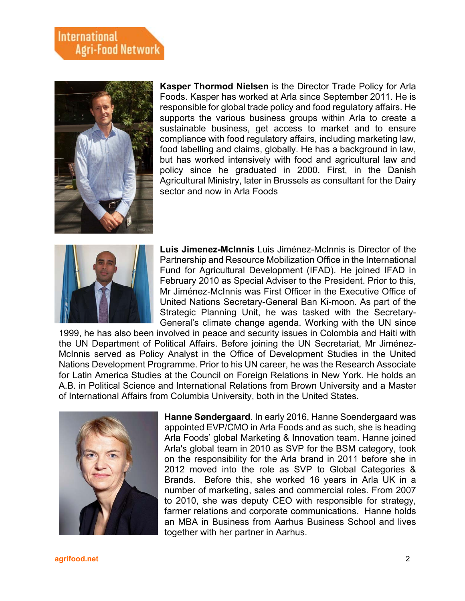## **International Agri-Food Network**



**Kasper Thormod Nielsen** is the Director Trade Policy for Arla Foods. Kasper has worked at Arla since September 2011. He is responsible for global trade policy and food regulatory affairs. He supports the various business groups within Arla to create a sustainable business, get access to market and to ensure compliance with food regulatory affairs, including marketing law, food labelling and claims, globally. He has a background in law, but has worked intensively with food and agricultural law and policy since he graduated in 2000. First, in the Danish Agricultural Ministry, later in Brussels as consultant for the Dairy sector and now in Arla Foods



Luis Jimenez-McInnis Luis Jiménez-McInnis is Director of the Partnership and Resource Mobilization Office in the International Fund for Agricultural Development (IFAD). He joined IFAD in February 2010 as Special Adviser to the President. Prior to this, Mr Jimé nez-McInnis was First Officer in the Executive Office of United Nations Secretary-General Ban Ki-moon. As part of the Strategic Planning Unit, he was tasked with the Secretary-General's climate change agenda. Working with the UN since

1999, he has also been involved in peace and security issues in Colombia and Haiti with the UN Department of Political Affairs. Before joining the UN Secretariat, Mr Jimé nez-McInnis served as Policy Analyst in the Office of Development Studies in the United Nations Development Programme. Prior to his UN career, he was the Research Associate for Latin America Studies at the Council on Foreign Relations in New York. He holds an A.B. in Political Science and International Relations from Brown University and a Master of International Affairs from Columbia University, both in the United States.



**Hanne Søndergaard**. In early 2016, Hanne Soendergaard was appointed EVP/CMO in Arla Foods and as such, she is heading Arla Foods' global Marketing & Innovation team. Hanne joined Arla's global team in 2010 as SVP for the BSM category, took on the responsibility for the Arla brand in 2011 before she in 2012 moved into the role as SVP to Global Categories & Brands. Before this, she worked 16 years in Arla UK in a number of marketing, sales and commercial roles. From 2007 to 2010, she was deputy CEO with responsible for strategy, farmer relations and corporate communications. Hanne holds an MBA in Business from Aarhus Business School and lives together with her partner in Aarhus.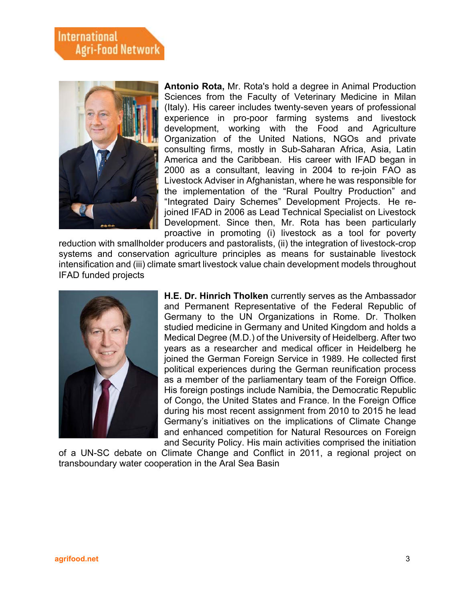

**Antonio Rota,** Mr. Rota's hold a degree in Animal Production Sciences from the Faculty of Veterinary Medicine in Milan (Italy). His career includes twenty-seven years of professional experience in pro-poor farming systems and livestock development, working with the Food and Agriculture Organization of the United Nations, NGOs and private consulting firms, mostly in Sub-Saharan Africa, Asia, Latin America and the Caribbean. His career with IFAD began in 2000 as a consultant, leaving in 2004 to re-join FAO as Livestock Adviser in Afghanistan, where he was responsible for the implementation of the "Rural Poultry Production" and "Integrated Dairy Schemes" Development Projects. He rejoined IFAD in 2006 as Lead Technical Specialist on Livestock Development. Since then, Mr. Rota has been particularly proactive in promoting (i) livestock as a tool for poverty

reduction with smallholder producers and pastoralists, (ii) the integration of livestock-crop systems and conservation agriculture principles as means for sustainable livestock intensification and (iii) climate smart livestock value chain development models throughout IFAD funded projects



**H.E. Dr. Hinrich Tholken** currently serves as the Ambassador and Permanent Representative of the Federal Republic of Germany to the UN Organizations in Rome. Dr. Tholken studied medicine in Germany and United Kingdom and holds a Medical Degree (M.D.) of the University of Heidelberg. After two years as a researcher and medical officer in Heidelberg he joined the German Foreign Service in 1989. He collected first political experiences during the German reunification process as a member of the parliamentary team of the Foreign Office. His foreign postings include Namibia, the Democratic Republic of Congo, the United States and France. In the Foreign Office during his most recent assignment from 2010 to 2015 he lead Germany's initiatives on the implications of Climate Change and enhanced competition for Natural Resources on Foreign and Security Policy. His main activities comprised the initiation

of a UN-SC debate on Climate Change and Conflict in 2011, a regional project on transboundary water cooperation in the Aral Sea Basin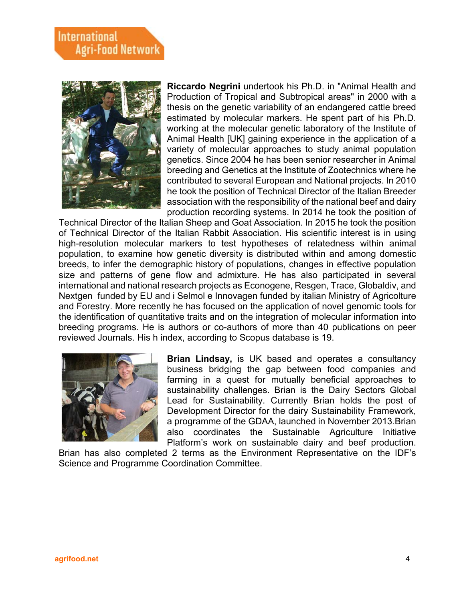

**Riccardo Negrini** undertook his Ph.D. in "Animal Health and Production of Tropical and Subtropical areas" in 2000 with a thesis on the genetic variability of an endangered cattle breed estimated by molecular markers. He spent part of his Ph.D. working at the molecular genetic laboratory of the Institute of Animal Health [UK] gaining experience in the application of a variety of molecular approaches to study animal population genetics. Since 2004 he has been senior researcher in Animal breeding and Genetics at the Institute of Zootechnics where he contributed to several European and National projects. In 2010 he took the position of Technical Director of the Italian Breeder association with the responsibility of the national beef and dairy production recording systems. In 2014 he took the position of

Technical Director of the Italian Sheep and Goat Association. In 2015 he took the position of Technical Director of the Italian Rabbit Association. His scientific interest is in using high-resolution molecular markers to test hypotheses of relatedness within animal population, to examine how genetic diversity is distributed within and among domestic breeds, to infer the demographic history of populations, changes in effective population size and patterns of gene flow and admixture. He has also participated in several international and national research projects as Econogene, Resgen, Trace, Globaldiv, and Nextgen funded by EU and i Selmol e Innovagen funded by italian Ministry of Agricolture and Forestry. More recently he has focused on the application of novel genomic tools for the identification of quantitative traits and on the integration of molecular information into breeding programs. He is authors or co-authors of more than 40 publications on peer reviewed Journals. His h index, according to Scopus database is 19.



**Brian Lindsay,** is UK based and operates a consultancy business bridging the gap between food companies and farming in a quest for mutually beneficial approaches to sustainability challenges. Brian is the Dairy Sectors Global Lead for Sustainability. Currently Brian holds the post of Development Director for the dairy Sustainability Framework, a programme of the GDAA, launched in November 2013.Brian also coordinates the Sustainable Agriculture Initiative Platform's work on sustainable dairy and beef production.

Brian has also completed 2 terms as the Environment Representative on the IDF's Science and Programme Coordination Committee.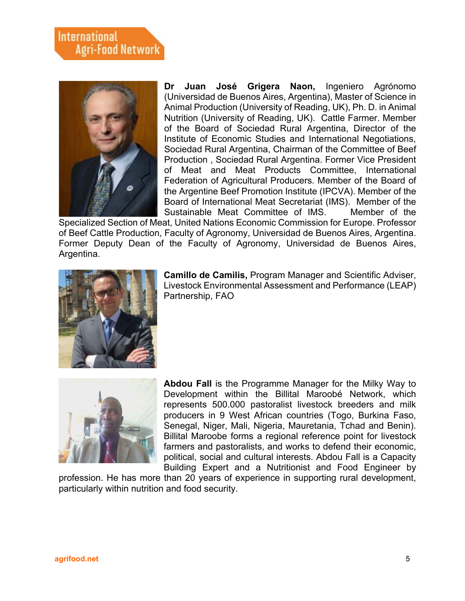

**Dr Juan José Grigera Naon,** Ingeniero Agrónomo (Universidad de Buenos Aires, Argentina), Master of Science in Animal Production (University of Reading, UK), Ph. D. in Animal Nutrition (University of Reading, UK). Cattle Farmer. Member of the Board of Sociedad Rural Argentina, Director of the Institute of Economic Studies and International Negotiations, Sociedad Rural Argentina, Chairman of the Committee of Beef Production , Sociedad Rural Argentina. Former Vice President of Meat and Meat Products Committee, International Federation of Agricultural Producers. Member of the Board of the Argentine Beef Promotion Institute (IPCVA). Member of the Board of International Meat Secretariat (IMS). Member of the Sustainable Meat Committee of IMS. Member of the

Specialized Section of Meat, United Nations Economic Commission for Europe. Professor of Beef Cattle Production, Faculty of Agronomy, Universidad de Buenos Aires, Argentina. Former Deputy Dean of the Faculty of Agronomy, Universidad de Buenos Aires, Argentina.



**Camillo de Camilis,** Program Manager and Scientific Adviser, Livestock Environmental Assessment and Performance (LEAP) Partnership, FAO



**Abdou Fall** is the Programme Manager for the Milky Way to Development within the Billital Maroobé Network, which represents 500.000 pastoralist livestock breeders and milk producers in 9 West African countries (Togo, Burkina Faso, Senegal, Niger, Mali, Nigeria, Mauretania, Tchad and Benin). Billital Maroobe forms a regional reference point for livestock farmers and pastoralists, and works to defend their economic, political, social and cultural interests. Abdou Fall is a Capacity Building Expert and a Nutritionist and Food Engineer by

profession. He has more than 20 years of experience in supporting rural development, particularly within nutrition and food security.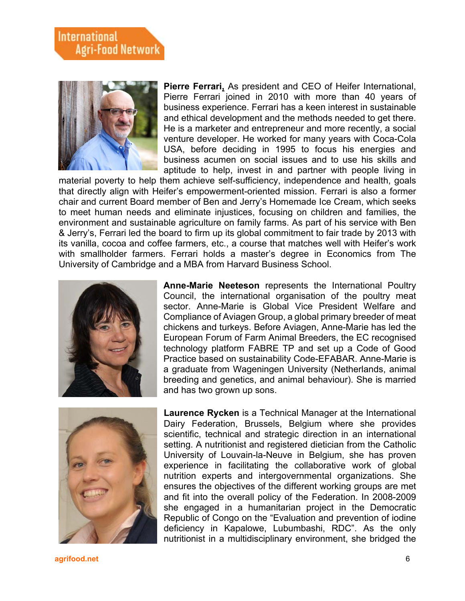

**Pierre Ferrari,** As president and CEO of Heifer International, Pierre Ferrari joined in 2010 with more than 40 years of business experience. Ferrari has a keen interest in sustainable and ethical development and the methods needed to get there. He is a marketer and entrepreneur and more recently, a social venture developer. He worked for many years with Coca-Cola USA, before deciding in 1995 to focus his energies and business acumen on social issues and to use his skills and aptitude to help, invest in and partner with people living in

material poverty to help them achieve self-sufficiency, independence and health, goals that directly align with Heifer's empowerment-oriented mission. Ferrari is also a former chair and current Board member of Ben and Jerry's Homemade Ice Cream, which seeks to meet human needs and eliminate injustices, focusing on children and families, the environment and sustainable agriculture on family farms. As part of his service with Ben & Jerry's, Ferrari led the board to firm up its global commitment to fair trade by 2013 with its vanilla, cocoa and coffee farmers, etc., a course that matches well with Heifer's work with smallholder farmers. Ferrari holds a master's degree in Economics from The University of Cambridge and a MBA from Harvard Business School.



**Anne-Marie Neeteson** represents the International Poultry Council, the international organisation of the poultry meat sector. Anne-Marie is Global Vice President Welfare and Compliance of Aviagen Group, a global primary breeder of meat chickens and turkeys. Before Aviagen, Anne-Marie has led the European Forum of Farm Animal Breeders, the EC recognised technology platform FABRE TP and set up a Code of Good Practice based on sustainability Code-EFABAR. Anne-Marie is a graduate from Wageningen University (Netherlands, animal breeding and genetics, and animal behaviour). She is married and has two grown up sons.



**Laurence Rycken** is a Technical Manager at the International Dairy Federation, Brussels, Belgium where she provides scientific, technical and strategic direction in an international setting. A nutritionist and registered dietician from the Catholic University of Louvain-la-Neuve in Belgium, she has proven experience in facilitating the collaborative work of global nutrition experts and intergovernmental organizations. She ensures the objectives of the different working groups are met and fit into the overall policy of the Federation. In 2008-2009 she engaged in a humanitarian project in the Democratic Republic of Congo on the "Evaluation and prevention of iodine deficiency in Kapalowe, Lubumbashi, RDC". As the only nutritionist in a multidisciplinary environment, she bridged the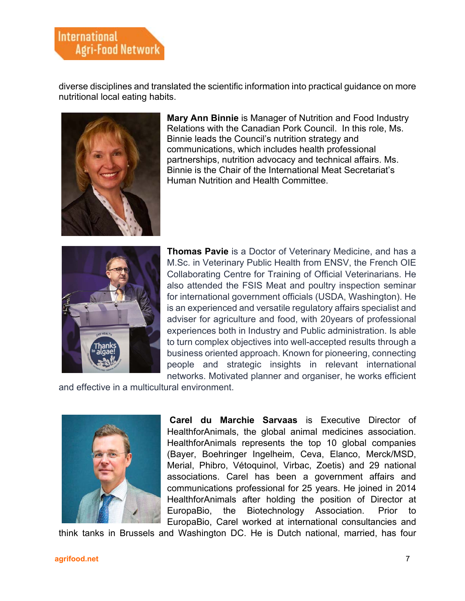## **International Agri-Food Network**

diverse disciplines and translated the scientific information into practical guidance on more nutritional local eating habits.



**Mary Ann Binnie** is Manager of Nutrition and Food Industry Relations with the Canadian Pork Council. In this role, Ms. Binnie leads the Council's nutrition strategy and communications, which includes health professional partnerships, nutrition advocacy and technical affairs. Ms. Binnie is the Chair of the International Meat Secretariat's Human Nutrition and Health Committee.



**Thomas Pavie** is a Doctor of Veterinary Medicine, and has a M.Sc. in Veterinary Public Health from ENSV, the French OIE Collaborating Centre for Training of Official Veterinarians. He also attended the FSIS Meat and poultry inspection seminar for international government officials (USDA, Washington). He is an experienced and versatile regulatory affairs specialist and adviser for agriculture and food, with 20years of professional experiences both in Industry and Public administration. Is able to turn complex objectives into well-accepted results through a business oriented approach. Known for pioneering, connecting people and strategic insights in relevant international networks. Motivated planner and organiser, he works efficient

and effective in a multicultural environment.



**Carel du Marchie Sarvaas** is Executive Director of HealthforAnimals, the global animal medicines association. HealthforAnimals represents the top 10 global companies (Bayer, Boehringer Ingelheim, Ceva, Elanco, Merck/MSD, Merial, Phibro, Vétoquinol, Virbac, Zoetis) and 29 national associations. Carel has been a government affairs and communications professional for 25 years. He joined in 2014 HealthforAnimals after holding the position of Director at EuropaBio, the Biotechnology Association. Prior to EuropaBio, Carel worked at international consultancies and

think tanks in Brussels and Washington DC. He is Dutch national, married, has four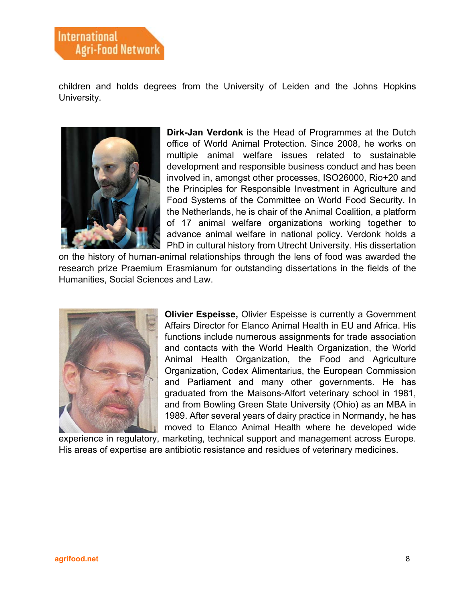children and holds degrees from the University of Leiden and the Johns Hopkins University.



**Dirk-Jan Verdonk** is the Head of Programmes at the Dutch office of World Animal Protection. Since 2008, he works on multiple animal welfare issues related to sustainable development and responsible business conduct and has been involved in, amongst other processes, ISO26000, Rio+20 and the Principles for Responsible Investment in Agriculture and Food Systems of the Committee on World Food Security. In the Netherlands, he is chair of the Animal Coalition, a platform of 17 animal welfare organizations working together to advance animal welfare in national policy. Verdonk holds a PhD in cultural history from Utrecht University. His dissertation

on the history of human-animal relationships through the lens of food was awarded the research prize Praemium Erasmianum for outstanding dissertations in the fields of the Humanities, Social Sciences and Law.



**Olivier Espeisse,** Olivier Espeisse is currently a Government Affairs Director for Elanco Animal Health in EU and Africa. His functions include numerous assignments for trade association and contacts with the World Health Organization, the World Animal Health Organization, the Food and Agriculture Organization, Codex Alimentarius, the European Commission and Parliament and many other governments. He has graduated from the Maisons-Alfort veterinary school in 1981, and from Bowling Green State University (Ohio) as an MBA in 1989. After several years of dairy practice in Normandy, he has moved to Elanco Animal Health where he developed wide

experience in regulatory, marketing, technical support and management across Europe. His areas of expertise are antibiotic resistance and residues of veterinary medicines.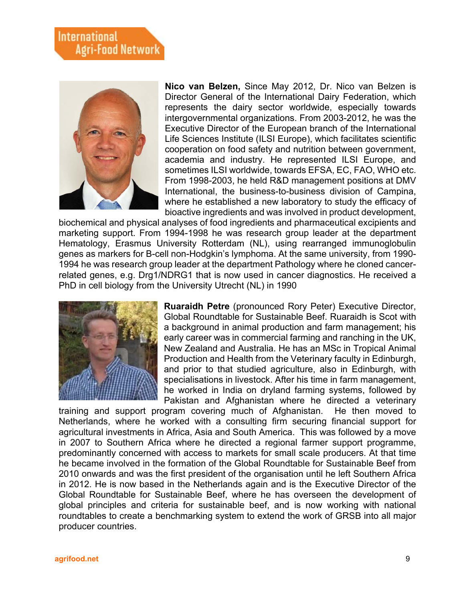## **International Agri-Food Network**



**Nico van Belzen,** Since May 2012, Dr. Nico van Belzen is Director General of the International Dairy Federation, which represents the dairy sector worldwide, especially towards intergovernmental organizations. From 2003-2012, he was the Executive Director of the European branch of the International Life Sciences Institute (ILSI Europe), which facilitates scientific cooperation on food safety and nutrition between government, academia and industry. He represented ILSI Europe, and sometimes ILSI worldwide, towards EFSA, EC, FAO, WHO etc. From 1998-2003, he held R&D management positions at DMV International, the business-to-business division of Campina, where he established a new laboratory to study the efficacy of bioactive ingredients and was involved in product development,

biochemical and physical analyses of food ingredients and pharmaceutical excipients and marketing support. From 1994-1998 he was research group leader at the department Hematology, Erasmus University Rotterdam (NL), using rearranged immunoglobulin genes as markers for B-cell non-Hodgkin's lymphoma. At the same university, from 1990- 1994 he was research group leader at the department Pathology where he cloned cancerrelated genes, e.g. Drg1/NDRG1 that is now used in cancer diagnostics. He received a PhD in cell biology from the University Utrecht (NL) in 1990



**Ruaraidh Petre** (pronounced Rory Peter) Executive Director, Global Roundtable for Sustainable Beef. Ruaraidh is Scot with a background in animal production and farm management; his early career was in commercial farming and ranching in the UK, New Zealand and Australia. He has an MSc in Tropical Animal Production and Health from the Veterinary faculty in Edinburgh, and prior to that studied agriculture, also in Edinburgh, with specialisations in livestock. After his time in farm management, he worked in India on dryland farming systems, followed by Pakistan and Afghanistan where he directed a veterinary

training and support program covering much of Afghanistan. He then moved to Netherlands, where he worked with a consulting firm securing financial support for agricultural investments in Africa, Asia and South America. This was followed by a move in 2007 to Southern Africa where he directed a regional farmer support programme, predominantly concerned with access to markets for small scale producers. At that time he became involved in the formation of the Global Roundtable for Sustainable Beef from 2010 onwards and was the first president of the organisation until he left Southern Africa in 2012. He is now based in the Netherlands again and is the Executive Director of the Global Roundtable for Sustainable Beef, where he has overseen the development of global principles and criteria for sustainable beef, and is now working with national roundtables to create a benchmarking system to extend the work of GRSB into all major producer countries.